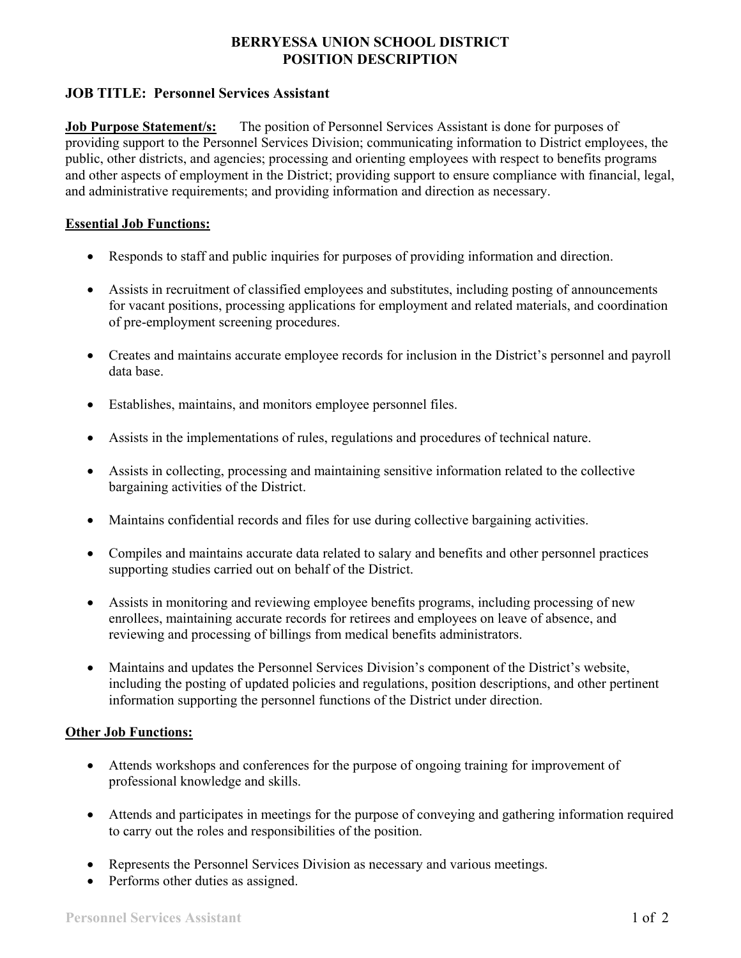## **BERRYESSA UNION SCHOOL DISTRICT POSITION DESCRIPTION**

# **JOB TITLE: Personnel Services Assistant**

**Job Purpose Statement/s:** The position of Personnel Services Assistant is done for purposes of providing support to the Personnel Services Division; communicating information to District employees, the public, other districts, and agencies; processing and orienting employees with respect to benefits programs and other aspects of employment in the District; providing support to ensure compliance with financial, legal, and administrative requirements; and providing information and direction as necessary.

### **Essential Job Functions:**

- Responds to staff and public inquiries for purposes of providing information and direction.
- Assists in recruitment of classified employees and substitutes, including posting of announcements for vacant positions, processing applications for employment and related materials, and coordination of pre-employment screening procedures.
- Creates and maintains accurate employee records for inclusion in the District's personnel and payroll data base.
- Establishes, maintains, and monitors employee personnel files.
- Assists in the implementations of rules, regulations and procedures of technical nature.
- Assists in collecting, processing and maintaining sensitive information related to the collective bargaining activities of the District.
- Maintains confidential records and files for use during collective bargaining activities.
- Compiles and maintains accurate data related to salary and benefits and other personnel practices supporting studies carried out on behalf of the District.
- Assists in monitoring and reviewing employee benefits programs, including processing of new enrollees, maintaining accurate records for retirees and employees on leave of absence, and reviewing and processing of billings from medical benefits administrators.
- Maintains and updates the Personnel Services Division's component of the District's website, including the posting of updated policies and regulations, position descriptions, and other pertinent information supporting the personnel functions of the District under direction.

### **Other Job Functions:**

- Attends workshops and conferences for the purpose of ongoing training for improvement of professional knowledge and skills.
- Attends and participates in meetings for the purpose of conveying and gathering information required to carry out the roles and responsibilities of the position.
- Represents the Personnel Services Division as necessary and various meetings.
- Performs other duties as assigned.